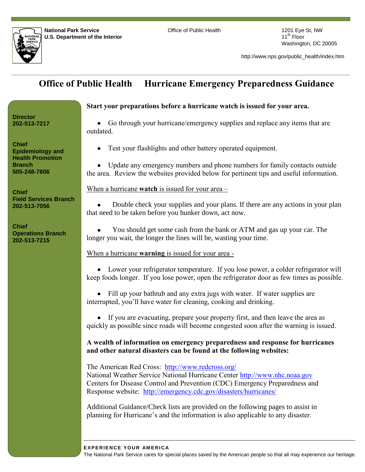

**National Park Service U.S. Department of the Interior**

1201 Eye St, NW 11<sup>th</sup> Floor Washington, DC 20005

http://www.nps.gov/public\_health/index.htm

# **Office of Public Health Hurricane Emergency Preparedness Guidance**

**Director 202-513-7217**

**Chief Epidemiology and Health Promotion Branch 505-248-7806**

**Chief Field Services Branch 202-513-7056**

**Chief Operations Branch 202-513-7215**

#### **Start your preparations before a hurricane watch is issued for your area.**

Go through your hurricane/emergency supplies and replace any items that are outdated.

Test your flashlights and other battery operated equipment.

Update any emergency numbers and phone numbers for family contacts outside the area. Review the websites provided below for pertinent tips and useful information.

When a hurricane **watch** is issued for your area –

Double check your supplies and your plans. If there are any actions in your plan that need to be taken before you hunker down, act now.

You should get some cash from the bank or ATM and gas up your car. The longer you wait, the longer the lines will be, wasting your time.

#### When a hurricane **warning** is issued for your area -

Lower your refrigerator temperature. If you lose power, a colder refrigerator will  $\bullet$ keep foods longer. If you lose power, open the refrigerator door as few times as possible.

• Fill up your bathtub and any extra jugs with water. If water supplies are interrupted, you'll have water for cleaning, cooking and drinking.

If you are evacuating, prepare your property first, and then leave the area as quickly as possible since roads will become congested soon after the warning is issued.

#### **A wealth of information on emergency preparedness and response for hurricanes and other natural disasters can be found at the following websites:**

The American Red Cross: <http://www.redcross.org/> National Weather Service National Hurricane Center [http://www.nhc.noaa.gov](http://www.nhc.noaa.gov/) Centers for Disease Control and Prevention (CDC) Emergency Preparedness and Response website: <http://emergency.cdc.gov/disasters/hurricanes/>

Additional Guidance/Check lists are provided on the following pages to assist in planning for Hurricane's and the information is also applicable to any disaster.

#### **EXPERIENCE YOUR AMERICA**

The National Park Service cares for special places saved by the American people so that all may experience our heritage.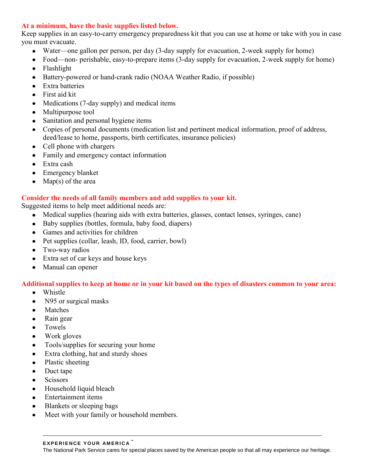## **At a minimum, have the basic supplies listed below.**

Keep supplies in an easy-to-carry emergency preparedness kit that you can use at home or take with you in case you must evacuate.

- Water—one gallon per person, per day (3-day supply for evacuation, 2-week supply for home)
- Food—non- perishable, easy-to-prepare items (3-day supply for evacuation, 2-week supply for home)  $\bullet$
- Flashlight
- Battery-powered or hand-crank radio (NOAA Weather Radio, if possible)  $\bullet$
- Extra batteries
- First aid kit
- Medications (7-day supply) and medical items
- Multipurpose tool
- Sanitation and personal hygiene items
- Copies of personal documents (medication list and pertinent medical information, proof of address, deed/lease to home, passports, birth certificates, insurance policies)
- Cell phone with chargers
- Family and emergency contact information
- Extra cash
- Emergency blanket
- $\bullet$  Map(s) of the area

## **Consider the needs of all family members and add supplies to your kit.**

Suggested items to help meet additional needs are:

- Medical supplies (hearing aids with extra batteries, glasses, contact lenses, syringes, cane)
- Baby supplies (bottles, formula, baby food, diapers)
- Games and activities for children
- Pet supplies (collar, leash, ID, food, carrier, bowl)
- Two-way radios
- Extra set of car keys and house keys
- Manual can opener  $\bullet$

#### **Additional supplies to keep at home or in your kit based on the types of disasters common to your area:**

- Whistle
- $\bullet$ N95 or surgical masks
- Matches
- Rain gear  $\bullet$
- Towels
- Work gloves
- Tools/supplies for securing your home  $\bullet$
- Extra clothing, hat and sturdy shoes
- Plastic sheeting  $\bullet$
- Duct tape
- Scissors  $\bullet$
- Household liquid bleach  $\bullet$
- Entertainment items  $\bullet$
- Blankets or sleeping bags
- Meet with your family or household members.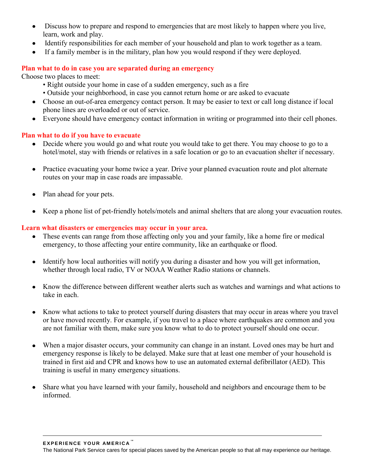- Discuss how to prepare and respond to emergencies that are most likely to happen where you live,  $\bullet$ learn, work and play.
- Identify responsibilities for each member of your household and plan to work together as a team.  $\bullet$
- If a family member is in the military, plan how you would respond if they were deployed.

#### **Plan what to do in case you are separated during an emergency**

Choose two places to meet:

- Right outside your home in case of a sudden emergency, such as a fire
- Outside your neighborhood, in case you cannot return home or are asked to evacuate
- Choose an out-of-area emergency contact person. It may be easier to text or call long distance if local phone lines are overloaded or out of service.
- Everyone should have emergency contact information in writing or programmed into their cell phones.

## **Plan what to do if you have to evacuate**

- Decide where you would go and what route you would take to get there. You may choose to go to a hotel/motel, stay with friends or relatives in a safe location or go to an evacuation shelter if necessary.
- Practice evacuating your home twice a year. Drive your planned evacuation route and plot alternate routes on your map in case roads are impassable.
- Plan ahead for your pets.  $\bullet$
- Keep a phone list of pet-friendly hotels/motels and animal shelters that are along your evacuation routes.  $\bullet$

# **Learn what disasters or emergencies may occur in your area.**

- These events can range from those affecting only you and your family, like a home fire or medical emergency, to those affecting your entire community, like an earthquake or flood.
- Identify how local authorities will notify you during a disaster and how you will get information,  $\bullet$ whether through local radio, TV or NOAA Weather Radio stations or channels.
- Know the difference between different weather alerts such as watches and warnings and what actions to  $\bullet$ take in each.
- Know what actions to take to protect yourself during disasters that may occur in areas where you travel  $\bullet$ or have moved recently. For example, if you travel to a place where earthquakes are common and you are not familiar with them, make sure you know what to do to protect yourself should one occur.
- When a major disaster occurs, your community can change in an instant. Loved ones may be hurt and  $\bullet$ emergency response is likely to be delayed. Make sure that at least one member of your household is trained in first aid and CPR and knows how to use an automated external defibrillator (AED). This training is useful in many emergency situations.
- Share what you have learned with your family, household and neighbors and encourage them to be  $\bullet$ informed.